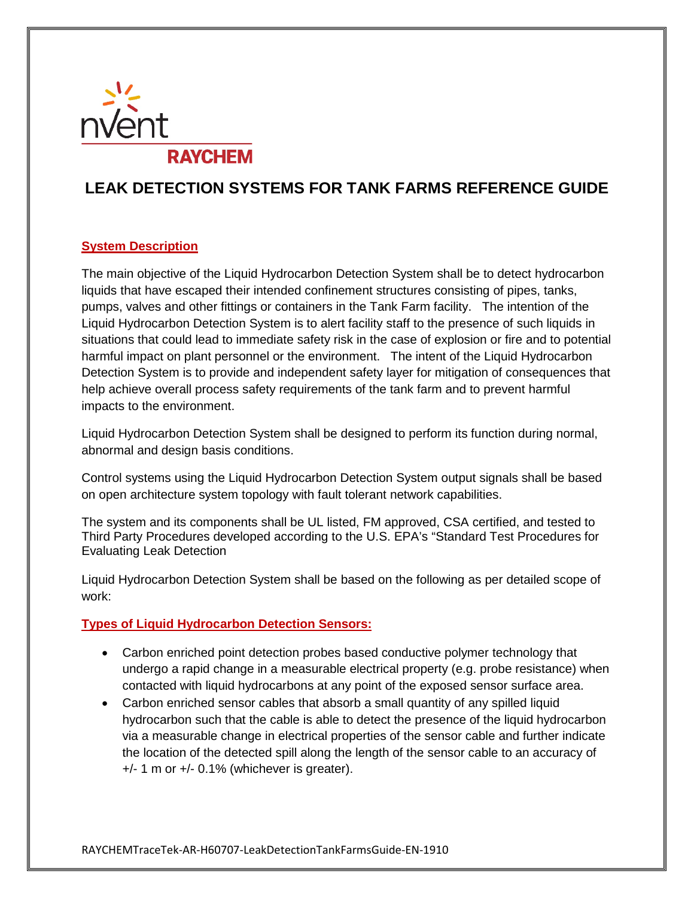

# **LEAK DETECTION SYSTEMS FOR TANK FARMS REFERENCE GUIDE**

# **System Description**

The main objective of the Liquid Hydrocarbon Detection System shall be to detect hydrocarbon liquids that have escaped their intended confinement structures consisting of pipes, tanks, pumps, valves and other fittings or containers in the Tank Farm facility. The intention of the Liquid Hydrocarbon Detection System is to alert facility staff to the presence of such liquids in situations that could lead to immediate safety risk in the case of explosion or fire and to potential harmful impact on plant personnel or the environment. The intent of the Liquid Hydrocarbon Detection System is to provide and independent safety layer for mitigation of consequences that help achieve overall process safety requirements of the tank farm and to prevent harmful impacts to the environment.

Liquid Hydrocarbon Detection System shall be designed to perform its function during normal, abnormal and design basis conditions.

Control systems using the Liquid Hydrocarbon Detection System output signals shall be based on open architecture system topology with fault tolerant network capabilities.

The system and its components shall be UL listed, FM approved, CSA certified, and tested to Third Party Procedures developed according to the U.S. EPA's "Standard Test Procedures for Evaluating Leak Detection

Liquid Hydrocarbon Detection System shall be based on the following as per detailed scope of work:

#### **Types of Liquid Hydrocarbon Detection Sensors:**

- Carbon enriched point detection probes based conductive polymer technology that undergo a rapid change in a measurable electrical property (e.g. probe resistance) when contacted with liquid hydrocarbons at any point of the exposed sensor surface area.
- Carbon enriched sensor cables that absorb a small quantity of any spilled liquid hydrocarbon such that the cable is able to detect the presence of the liquid hydrocarbon via a measurable change in electrical properties of the sensor cable and further indicate the location of the detected spill along the length of the sensor cable to an accuracy of +/- 1 m or +/- 0.1% (whichever is greater).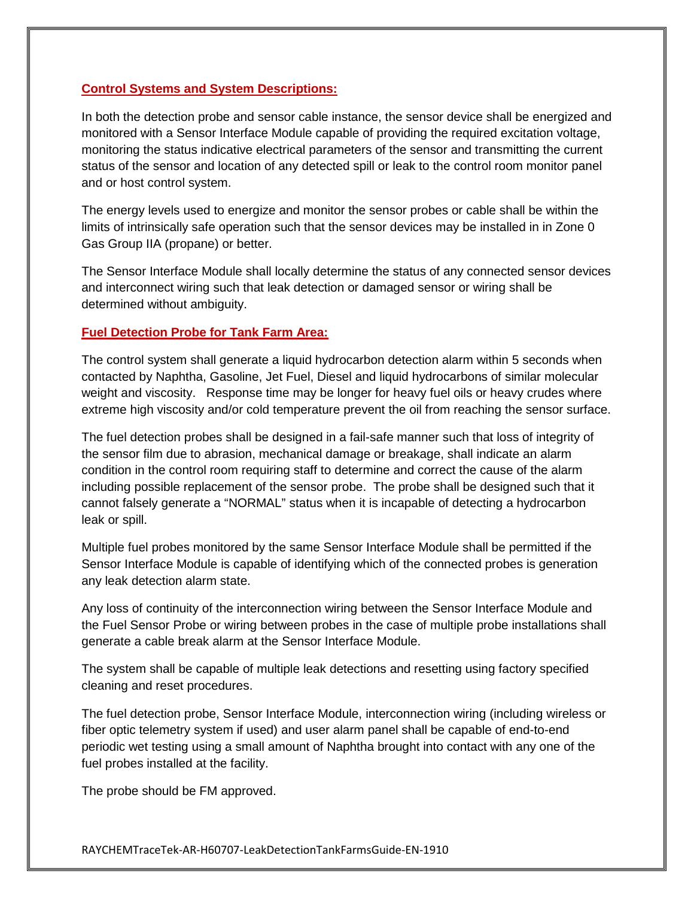#### **Control Systems and System Descriptions:**

In both the detection probe and sensor cable instance, the sensor device shall be energized and monitored with a Sensor Interface Module capable of providing the required excitation voltage, monitoring the status indicative electrical parameters of the sensor and transmitting the current status of the sensor and location of any detected spill or leak to the control room monitor panel and or host control system.

The energy levels used to energize and monitor the sensor probes or cable shall be within the limits of intrinsically safe operation such that the sensor devices may be installed in in Zone 0 Gas Group IIA (propane) or better.

The Sensor Interface Module shall locally determine the status of any connected sensor devices and interconnect wiring such that leak detection or damaged sensor or wiring shall be determined without ambiguity.

#### **Fuel Detection Probe for Tank Farm Area:**

The control system shall generate a liquid hydrocarbon detection alarm within 5 seconds when contacted by Naphtha, Gasoline, Jet Fuel, Diesel and liquid hydrocarbons of similar molecular weight and viscosity. Response time may be longer for heavy fuel oils or heavy crudes where extreme high viscosity and/or cold temperature prevent the oil from reaching the sensor surface.

The fuel detection probes shall be designed in a fail-safe manner such that loss of integrity of the sensor film due to abrasion, mechanical damage or breakage, shall indicate an alarm condition in the control room requiring staff to determine and correct the cause of the alarm including possible replacement of the sensor probe. The probe shall be designed such that it cannot falsely generate a "NORMAL" status when it is incapable of detecting a hydrocarbon leak or spill.

Multiple fuel probes monitored by the same Sensor Interface Module shall be permitted if the Sensor Interface Module is capable of identifying which of the connected probes is generation any leak detection alarm state.

Any loss of continuity of the interconnection wiring between the Sensor Interface Module and the Fuel Sensor Probe or wiring between probes in the case of multiple probe installations shall generate a cable break alarm at the Sensor Interface Module.

The system shall be capable of multiple leak detections and resetting using factory specified cleaning and reset procedures.

The fuel detection probe, Sensor Interface Module, interconnection wiring (including wireless or fiber optic telemetry system if used) and user alarm panel shall be capable of end-to-end periodic wet testing using a small amount of Naphtha brought into contact with any one of the fuel probes installed at the facility.

The probe should be FM approved.

RAYCHEMTraceTek-AR-H60707-LeakDetectionTankFarmsGuide-EN-1910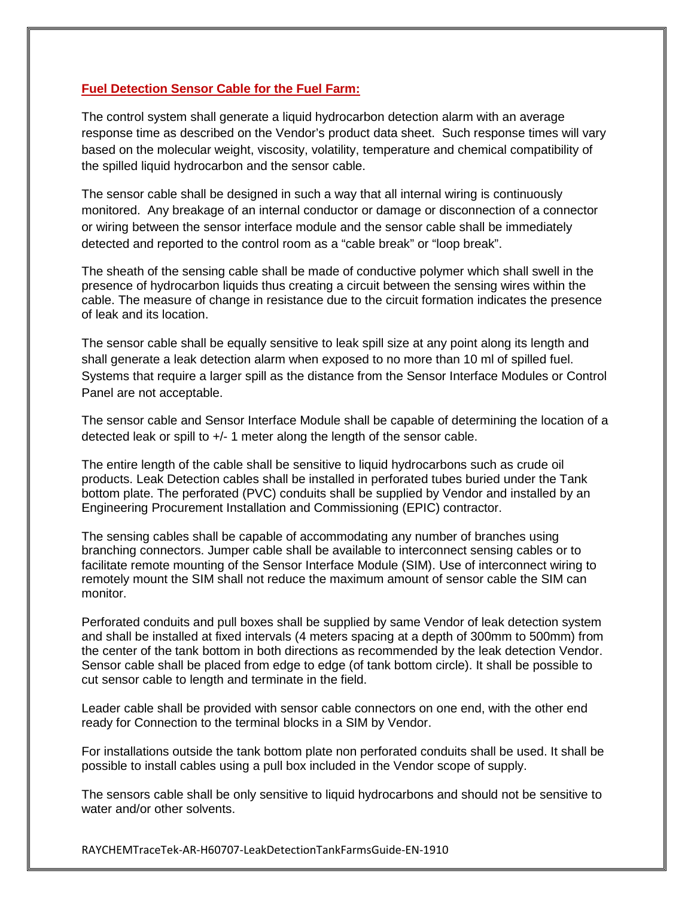#### **Fuel Detection Sensor Cable for the Fuel Farm:**

The control system shall generate a liquid hydrocarbon detection alarm with an average response time as described on the Vendor's product data sheet. Such response times will vary based on the molecular weight, viscosity, volatility, temperature and chemical compatibility of the spilled liquid hydrocarbon and the sensor cable.

The sensor cable shall be designed in such a way that all internal wiring is continuously monitored. Any breakage of an internal conductor or damage or disconnection of a connector or wiring between the sensor interface module and the sensor cable shall be immediately detected and reported to the control room as a "cable break" or "loop break".

The sheath of the sensing cable shall be made of conductive polymer which shall swell in the presence of hydrocarbon liquids thus creating a circuit between the sensing wires within the cable. The measure of change in resistance due to the circuit formation indicates the presence of leak and its location.

The sensor cable shall be equally sensitive to leak spill size at any point along its length and shall generate a leak detection alarm when exposed to no more than 10 ml of spilled fuel. Systems that require a larger spill as the distance from the Sensor Interface Modules or Control Panel are not acceptable.

The sensor cable and Sensor Interface Module shall be capable of determining the location of a detected leak or spill to +/- 1 meter along the length of the sensor cable.

The entire length of the cable shall be sensitive to liquid hydrocarbons such as crude oil products. Leak Detection cables shall be installed in perforated tubes buried under the Tank bottom plate. The perforated (PVC) conduits shall be supplied by Vendor and installed by an Engineering Procurement Installation and Commissioning (EPIC) contractor.

The sensing cables shall be capable of accommodating any number of branches using branching connectors. Jumper cable shall be available to interconnect sensing cables or to facilitate remote mounting of the Sensor Interface Module (SIM). Use of interconnect wiring to remotely mount the SIM shall not reduce the maximum amount of sensor cable the SIM can monitor.

Perforated conduits and pull boxes shall be supplied by same Vendor of leak detection system and shall be installed at fixed intervals (4 meters spacing at a depth of 300mm to 500mm) from the center of the tank bottom in both directions as recommended by the leak detection Vendor. Sensor cable shall be placed from edge to edge (of tank bottom circle). It shall be possible to cut sensor cable to length and terminate in the field.

Leader cable shall be provided with sensor cable connectors on one end, with the other end ready for Connection to the terminal blocks in a SIM by Vendor.

For installations outside the tank bottom plate non perforated conduits shall be used. It shall be possible to install cables using a pull box included in the Vendor scope of supply.

The sensors cable shall be only sensitive to liquid hydrocarbons and should not be sensitive to water and/or other solvents.

RAYCHEMTraceTek-AR-H60707-LeakDetectionTankFarmsGuide-EN-1910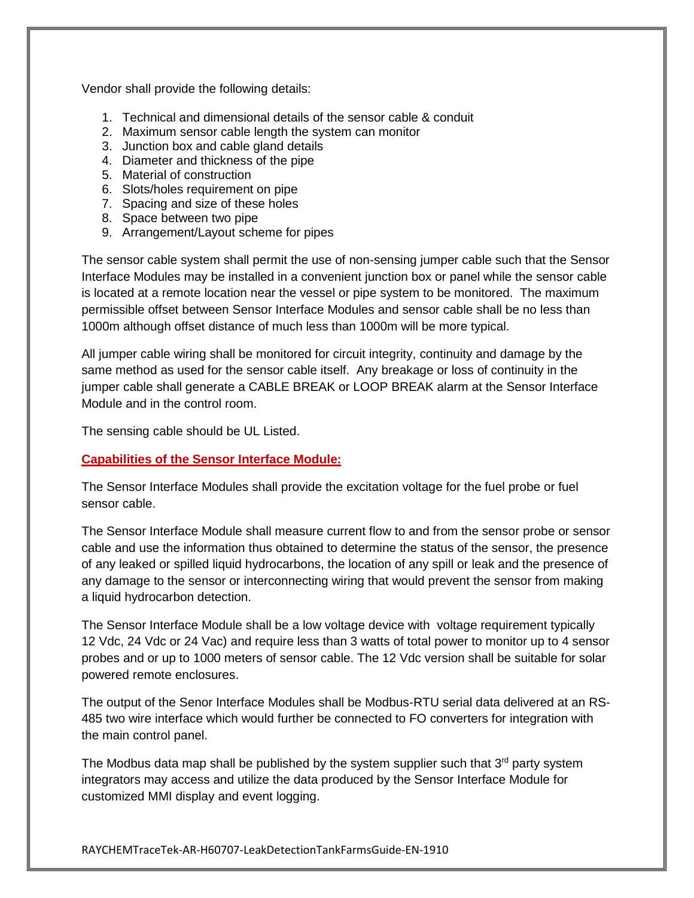Vendor shall provide the following details:

- 1. Technical and dimensional details of the sensor cable & conduit
- 2. Maximum sensor cable length the system can monitor
- 3. Junction box and cable gland details
- 4. Diameter and thickness of the pipe
- 5. Material of construction
- 6. Slots/holes requirement on pipe
- 7. Spacing and size of these holes
- 8. Space between two pipe
- 9. Arrangement/Layout scheme for pipes

The sensor cable system shall permit the use of non-sensing jumper cable such that the Sensor Interface Modules may be installed in a convenient junction box or panel while the sensor cable is located at a remote location near the vessel or pipe system to be monitored. The maximum permissible offset between Sensor Interface Modules and sensor cable shall be no less than 1000m although offset distance of much less than 1000m will be more typical.

All jumper cable wiring shall be monitored for circuit integrity, continuity and damage by the same method as used for the sensor cable itself. Any breakage or loss of continuity in the jumper cable shall generate a CABLE BREAK or LOOP BREAK alarm at the Sensor Interface Module and in the control room.

The sensing cable should be UL Listed.

# **Capabilities of the Sensor Interface Module:**

The Sensor Interface Modules shall provide the excitation voltage for the fuel probe or fuel sensor cable.

The Sensor Interface Module shall measure current flow to and from the sensor probe or sensor cable and use the information thus obtained to determine the status of the sensor, the presence of any leaked or spilled liquid hydrocarbons, the location of any spill or leak and the presence of any damage to the sensor or interconnecting wiring that would prevent the sensor from making a liquid hydrocarbon detection.

The Sensor Interface Module shall be a low voltage device with voltage requirement typically 12 Vdc, 24 Vdc or 24 Vac) and require less than 3 watts of total power to monitor up to 4 sensor probes and or up to 1000 meters of sensor cable. The 12 Vdc version shall be suitable for solar powered remote enclosures.

The output of the Senor Interface Modules shall be Modbus-RTU serial data delivered at an RS-485 two wire interface which would further be connected to FO converters for integration with the main control panel.

The Modbus data map shall be published by the system supplier such that  $3<sup>rd</sup>$  party system integrators may access and utilize the data produced by the Sensor Interface Module for customized MMI display and event logging.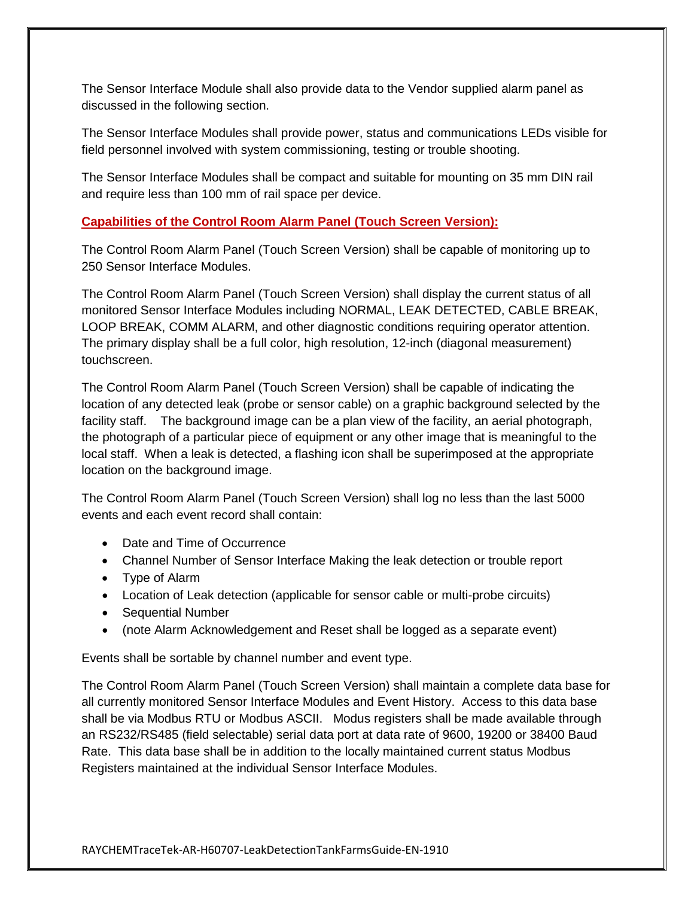The Sensor Interface Module shall also provide data to the Vendor supplied alarm panel as discussed in the following section.

The Sensor Interface Modules shall provide power, status and communications LEDs visible for field personnel involved with system commissioning, testing or trouble shooting.

The Sensor Interface Modules shall be compact and suitable for mounting on 35 mm DIN rail and require less than 100 mm of rail space per device.

#### **Capabilities of the Control Room Alarm Panel (Touch Screen Version):**

The Control Room Alarm Panel (Touch Screen Version) shall be capable of monitoring up to 250 Sensor Interface Modules.

The Control Room Alarm Panel (Touch Screen Version) shall display the current status of all monitored Sensor Interface Modules including NORMAL, LEAK DETECTED, CABLE BREAK, LOOP BREAK, COMM ALARM, and other diagnostic conditions requiring operator attention. The primary display shall be a full color, high resolution, 12-inch (diagonal measurement) touchscreen.

The Control Room Alarm Panel (Touch Screen Version) shall be capable of indicating the location of any detected leak (probe or sensor cable) on a graphic background selected by the facility staff. The background image can be a plan view of the facility, an aerial photograph, the photograph of a particular piece of equipment or any other image that is meaningful to the local staff. When a leak is detected, a flashing icon shall be superimposed at the appropriate location on the background image.

The Control Room Alarm Panel (Touch Screen Version) shall log no less than the last 5000 events and each event record shall contain:

- Date and Time of Occurrence
- Channel Number of Sensor Interface Making the leak detection or trouble report
- Type of Alarm
- Location of Leak detection (applicable for sensor cable or multi-probe circuits)
- Sequential Number
- (note Alarm Acknowledgement and Reset shall be logged as a separate event)

Events shall be sortable by channel number and event type.

The Control Room Alarm Panel (Touch Screen Version) shall maintain a complete data base for all currently monitored Sensor Interface Modules and Event History. Access to this data base shall be via Modbus RTU or Modbus ASCII. Modus registers shall be made available through an RS232/RS485 (field selectable) serial data port at data rate of 9600, 19200 or 38400 Baud Rate. This data base shall be in addition to the locally maintained current status Modbus Registers maintained at the individual Sensor Interface Modules.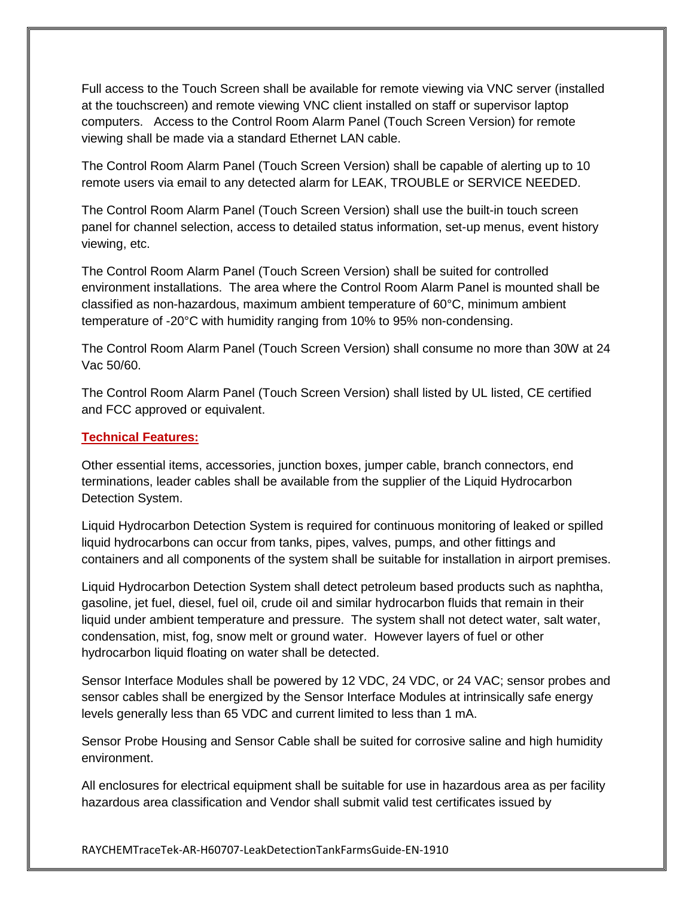Full access to the Touch Screen shall be available for remote viewing via VNC server (installed at the touchscreen) and remote viewing VNC client installed on staff or supervisor laptop computers. Access to the Control Room Alarm Panel (Touch Screen Version) for remote viewing shall be made via a standard Ethernet LAN cable.

The Control Room Alarm Panel (Touch Screen Version) shall be capable of alerting up to 10 remote users via email to any detected alarm for LEAK, TROUBLE or SERVICE NEEDED.

The Control Room Alarm Panel (Touch Screen Version) shall use the built-in touch screen panel for channel selection, access to detailed status information, set-up menus, event history viewing, etc.

The Control Room Alarm Panel (Touch Screen Version) shall be suited for controlled environment installations. The area where the Control Room Alarm Panel is mounted shall be classified as non-hazardous, maximum ambient temperature of 60°C, minimum ambient temperature of -20°C with humidity ranging from 10% to 95% non-condensing.

The Control Room Alarm Panel (Touch Screen Version) shall consume no more than 30W at 24 Vac 50/60.

The Control Room Alarm Panel (Touch Screen Version) shall listed by UL listed, CE certified and FCC approved or equivalent.

## **Technical Features:**

Other essential items, accessories, junction boxes, jumper cable, branch connectors, end terminations, leader cables shall be available from the supplier of the Liquid Hydrocarbon Detection System.

Liquid Hydrocarbon Detection System is required for continuous monitoring of leaked or spilled liquid hydrocarbons can occur from tanks, pipes, valves, pumps, and other fittings and containers and all components of the system shall be suitable for installation in airport premises.

Liquid Hydrocarbon Detection System shall detect petroleum based products such as naphtha, gasoline, jet fuel, diesel, fuel oil, crude oil and similar hydrocarbon fluids that remain in their liquid under ambient temperature and pressure. The system shall not detect water, salt water, condensation, mist, fog, snow melt or ground water. However layers of fuel or other hydrocarbon liquid floating on water shall be detected.

Sensor Interface Modules shall be powered by 12 VDC, 24 VDC, or 24 VAC; sensor probes and sensor cables shall be energized by the Sensor Interface Modules at intrinsically safe energy levels generally less than 65 VDC and current limited to less than 1 mA.

Sensor Probe Housing and Sensor Cable shall be suited for corrosive saline and high humidity environment.

All enclosures for electrical equipment shall be suitable for use in hazardous area as per facility hazardous area classification and Vendor shall submit valid test certificates issued by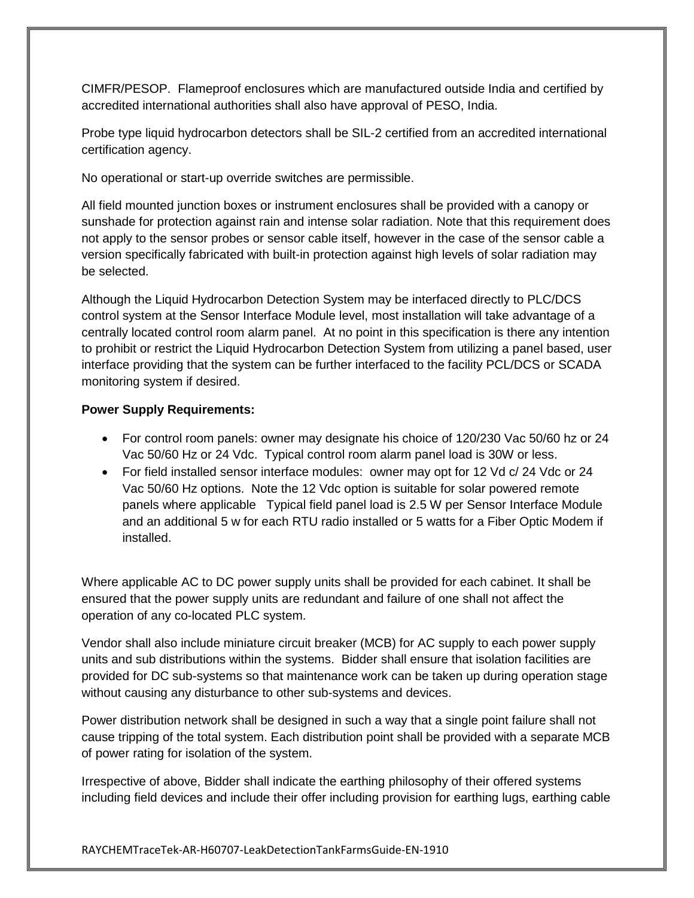CIMFR/PESOP. Flameproof enclosures which are manufactured outside India and certified by accredited international authorities shall also have approval of PESO, India.

Probe type liquid hydrocarbon detectors shall be SIL-2 certified from an accredited international certification agency.

No operational or start-up override switches are permissible.

All field mounted junction boxes or instrument enclosures shall be provided with a canopy or sunshade for protection against rain and intense solar radiation. Note that this requirement does not apply to the sensor probes or sensor cable itself, however in the case of the sensor cable a version specifically fabricated with built-in protection against high levels of solar radiation may be selected.

Although the Liquid Hydrocarbon Detection System may be interfaced directly to PLC/DCS control system at the Sensor Interface Module level, most installation will take advantage of a centrally located control room alarm panel. At no point in this specification is there any intention to prohibit or restrict the Liquid Hydrocarbon Detection System from utilizing a panel based, user interface providing that the system can be further interfaced to the facility PCL/DCS or SCADA monitoring system if desired.

## **Power Supply Requirements:**

- For control room panels: owner may designate his choice of 120/230 Vac 50/60 hz or 24 Vac 50/60 Hz or 24 Vdc. Typical control room alarm panel load is 30W or less.
- For field installed sensor interface modules: owner may opt for 12 Vd c/ 24 Vdc or 24 Vac 50/60 Hz options. Note the 12 Vdc option is suitable for solar powered remote panels where applicable Typical field panel load is 2.5 W per Sensor Interface Module and an additional 5 w for each RTU radio installed or 5 watts for a Fiber Optic Modem if installed.

Where applicable AC to DC power supply units shall be provided for each cabinet. It shall be ensured that the power supply units are redundant and failure of one shall not affect the operation of any co-located PLC system.

Vendor shall also include miniature circuit breaker (MCB) for AC supply to each power supply units and sub distributions within the systems. Bidder shall ensure that isolation facilities are provided for DC sub-systems so that maintenance work can be taken up during operation stage without causing any disturbance to other sub-systems and devices.

Power distribution network shall be designed in such a way that a single point failure shall not cause tripping of the total system. Each distribution point shall be provided with a separate MCB of power rating for isolation of the system.

Irrespective of above, Bidder shall indicate the earthing philosophy of their offered systems including field devices and include their offer including provision for earthing lugs, earthing cable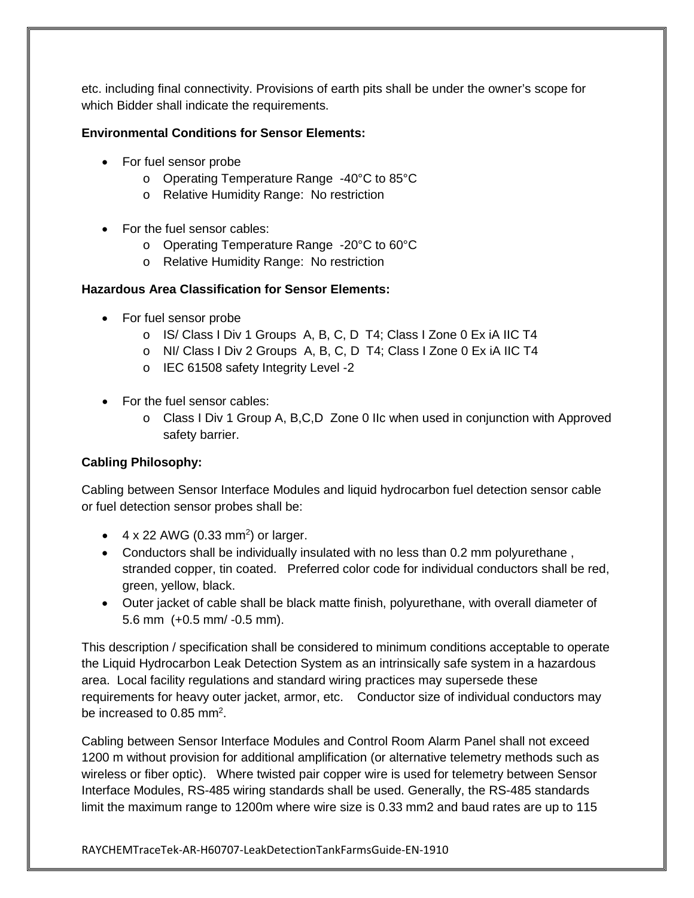etc. including final connectivity. Provisions of earth pits shall be under the owner's scope for which Bidder shall indicate the requirements.

## **Environmental Conditions for Sensor Elements:**

- For fuel sensor probe
	- o Operating Temperature Range -40°C to 85°C
	- o Relative Humidity Range: No restriction
- For the fuel sensor cables:
	- o Operating Temperature Range -20°C to 60°C
	- o Relative Humidity Range: No restriction

#### **Hazardous Area Classification for Sensor Elements:**

- For fuel sensor probe
	- o IS/ Class I Div 1 Groups A, B, C, D T4; Class I Zone 0 Ex iA IIC T4
	- o NI/ Class I Div 2 Groups A, B, C, D T4; Class I Zone 0 Ex iA IIC T4
	- o IEC 61508 safety Integrity Level -2
- For the fuel sensor cables:
	- $\circ$  Class I Div 1 Group A, B, C, D Zone 0 IIc when used in conjunction with Approved safety barrier.

# **Cabling Philosophy:**

Cabling between Sensor Interface Modules and liquid hydrocarbon fuel detection sensor cable or fuel detection sensor probes shall be:

- $\bullet$  4 x 22 AWG (0.33 mm<sup>2</sup>) or larger.
- Conductors shall be individually insulated with no less than 0.2 mm polyurethane , stranded copper, tin coated. Preferred color code for individual conductors shall be red, green, yellow, black.
- Outer jacket of cable shall be black matte finish, polyurethane, with overall diameter of 5.6 mm (+0.5 mm/ -0.5 mm).

This description / specification shall be considered to minimum conditions acceptable to operate the Liquid Hydrocarbon Leak Detection System as an intrinsically safe system in a hazardous area. Local facility regulations and standard wiring practices may supersede these requirements for heavy outer jacket, armor, etc. Conductor size of individual conductors may be increased to 0.85 mm<sup>2</sup>.

Cabling between Sensor Interface Modules and Control Room Alarm Panel shall not exceed 1200 m without provision for additional amplification (or alternative telemetry methods such as wireless or fiber optic). Where twisted pair copper wire is used for telemetry between Sensor Interface Modules, RS-485 wiring standards shall be used. Generally, the RS-485 standards limit the maximum range to 1200m where wire size is 0.33 mm2 and baud rates are up to 115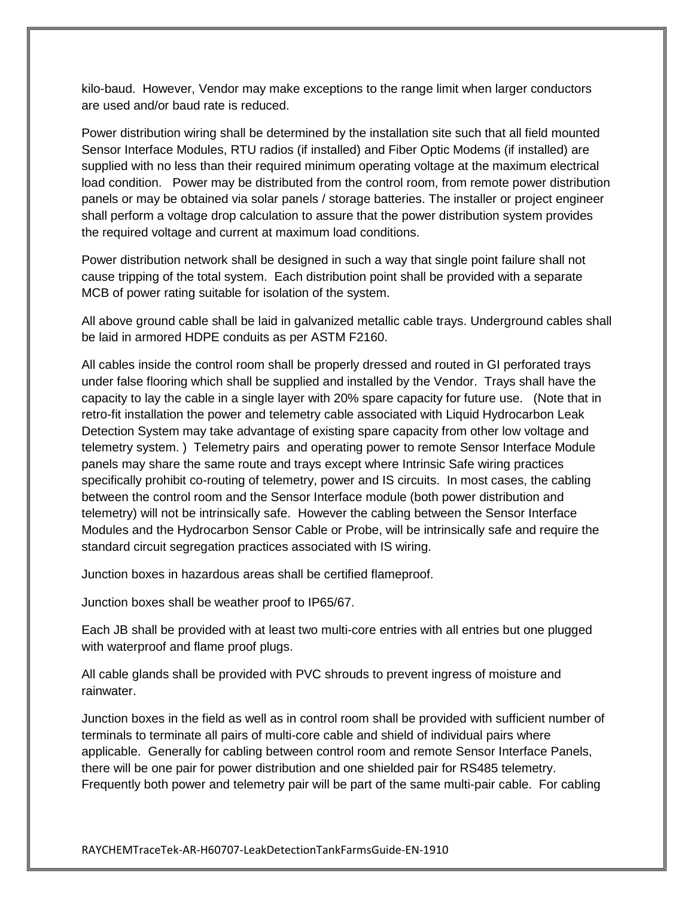kilo-baud. However, Vendor may make exceptions to the range limit when larger conductors are used and/or baud rate is reduced.

Power distribution wiring shall be determined by the installation site such that all field mounted Sensor Interface Modules, RTU radios (if installed) and Fiber Optic Modems (if installed) are supplied with no less than their required minimum operating voltage at the maximum electrical load condition. Power may be distributed from the control room, from remote power distribution panels or may be obtained via solar panels / storage batteries. The installer or project engineer shall perform a voltage drop calculation to assure that the power distribution system provides the required voltage and current at maximum load conditions.

Power distribution network shall be designed in such a way that single point failure shall not cause tripping of the total system. Each distribution point shall be provided with a separate MCB of power rating suitable for isolation of the system.

All above ground cable shall be laid in galvanized metallic cable trays. Underground cables shall be laid in armored HDPE conduits as per ASTM F2160.

All cables inside the control room shall be properly dressed and routed in GI perforated trays under false flooring which shall be supplied and installed by the Vendor. Trays shall have the capacity to lay the cable in a single layer with 20% spare capacity for future use. (Note that in retro-fit installation the power and telemetry cable associated with Liquid Hydrocarbon Leak Detection System may take advantage of existing spare capacity from other low voltage and telemetry system. ) Telemetry pairs and operating power to remote Sensor Interface Module panels may share the same route and trays except where Intrinsic Safe wiring practices specifically prohibit co-routing of telemetry, power and IS circuits. In most cases, the cabling between the control room and the Sensor Interface module (both power distribution and telemetry) will not be intrinsically safe. However the cabling between the Sensor Interface Modules and the Hydrocarbon Sensor Cable or Probe, will be intrinsically safe and require the standard circuit segregation practices associated with IS wiring.

Junction boxes in hazardous areas shall be certified flameproof.

Junction boxes shall be weather proof to IP65/67.

Each JB shall be provided with at least two multi-core entries with all entries but one plugged with waterproof and flame proof plugs.

All cable glands shall be provided with PVC shrouds to prevent ingress of moisture and rainwater.

Junction boxes in the field as well as in control room shall be provided with sufficient number of terminals to terminate all pairs of multi-core cable and shield of individual pairs where applicable. Generally for cabling between control room and remote Sensor Interface Panels, there will be one pair for power distribution and one shielded pair for RS485 telemetry. Frequently both power and telemetry pair will be part of the same multi-pair cable. For cabling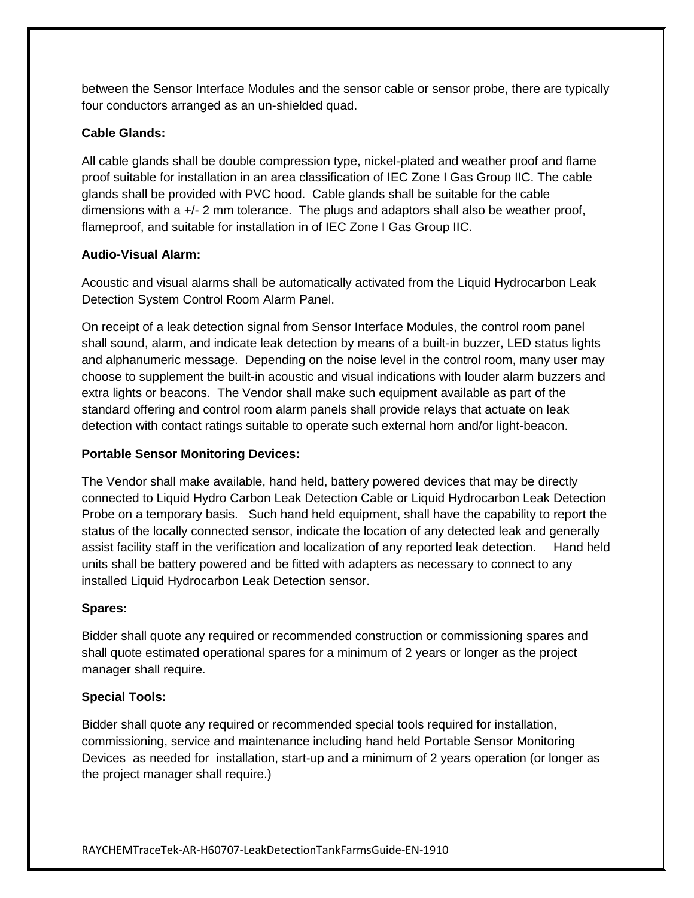between the Sensor Interface Modules and the sensor cable or sensor probe, there are typically four conductors arranged as an un-shielded quad.

## **Cable Glands:**

All cable glands shall be double compression type, nickel-plated and weather proof and flame proof suitable for installation in an area classification of IEC Zone I Gas Group IIC. The cable glands shall be provided with PVC hood. Cable glands shall be suitable for the cable dimensions with a +/- 2 mm tolerance. The plugs and adaptors shall also be weather proof, flameproof, and suitable for installation in of IEC Zone I Gas Group IIC.

## **Audio-Visual Alarm:**

Acoustic and visual alarms shall be automatically activated from the Liquid Hydrocarbon Leak Detection System Control Room Alarm Panel.

On receipt of a leak detection signal from Sensor Interface Modules, the control room panel shall sound, alarm, and indicate leak detection by means of a built-in buzzer, LED status lights and alphanumeric message. Depending on the noise level in the control room, many user may choose to supplement the built-in acoustic and visual indications with louder alarm buzzers and extra lights or beacons. The Vendor shall make such equipment available as part of the standard offering and control room alarm panels shall provide relays that actuate on leak detection with contact ratings suitable to operate such external horn and/or light-beacon.

## **Portable Sensor Monitoring Devices:**

The Vendor shall make available, hand held, battery powered devices that may be directly connected to Liquid Hydro Carbon Leak Detection Cable or Liquid Hydrocarbon Leak Detection Probe on a temporary basis. Such hand held equipment, shall have the capability to report the status of the locally connected sensor, indicate the location of any detected leak and generally assist facility staff in the verification and localization of any reported leak detection. Hand held units shall be battery powered and be fitted with adapters as necessary to connect to any installed Liquid Hydrocarbon Leak Detection sensor.

#### **Spares:**

Bidder shall quote any required or recommended construction or commissioning spares and shall quote estimated operational spares for a minimum of 2 years or longer as the project manager shall require.

#### **Special Tools:**

Bidder shall quote any required or recommended special tools required for installation, commissioning, service and maintenance including hand held Portable Sensor Monitoring Devices as needed for installation, start-up and a minimum of 2 years operation (or longer as the project manager shall require.)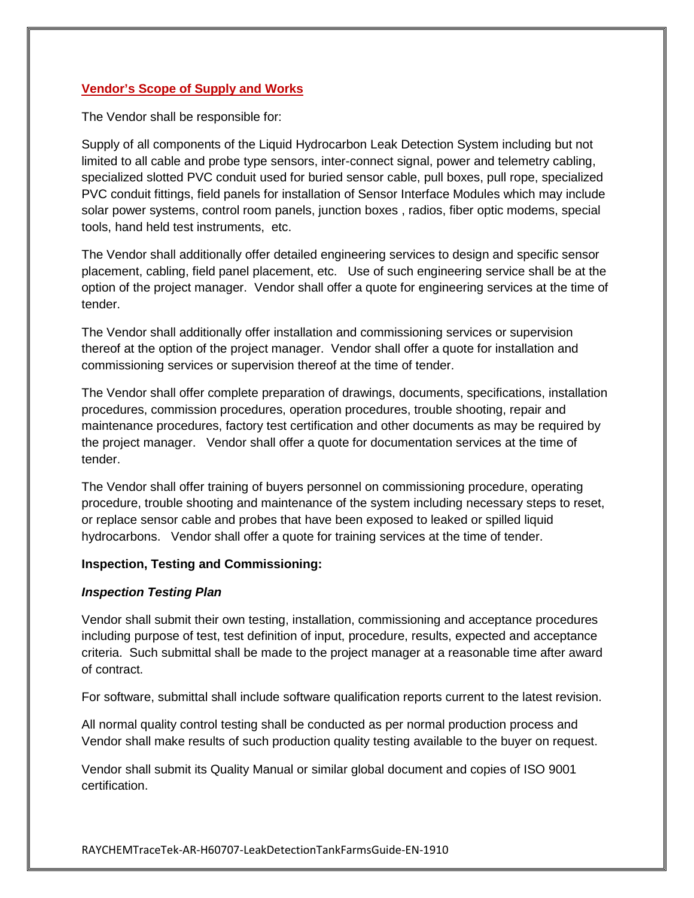#### **Vendor's Scope of Supply and Works**

The Vendor shall be responsible for:

Supply of all components of the Liquid Hydrocarbon Leak Detection System including but not limited to all cable and probe type sensors, inter-connect signal, power and telemetry cabling, specialized slotted PVC conduit used for buried sensor cable, pull boxes, pull rope, specialized PVC conduit fittings, field panels for installation of Sensor Interface Modules which may include solar power systems, control room panels, junction boxes , radios, fiber optic modems, special tools, hand held test instruments, etc.

The Vendor shall additionally offer detailed engineering services to design and specific sensor placement, cabling, field panel placement, etc. Use of such engineering service shall be at the option of the project manager. Vendor shall offer a quote for engineering services at the time of tender.

The Vendor shall additionally offer installation and commissioning services or supervision thereof at the option of the project manager. Vendor shall offer a quote for installation and commissioning services or supervision thereof at the time of tender.

The Vendor shall offer complete preparation of drawings, documents, specifications, installation procedures, commission procedures, operation procedures, trouble shooting, repair and maintenance procedures, factory test certification and other documents as may be required by the project manager. Vendor shall offer a quote for documentation services at the time of tender.

The Vendor shall offer training of buyers personnel on commissioning procedure, operating procedure, trouble shooting and maintenance of the system including necessary steps to reset, or replace sensor cable and probes that have been exposed to leaked or spilled liquid hydrocarbons. Vendor shall offer a quote for training services at the time of tender.

#### **Inspection, Testing and Commissioning:**

#### *Inspection Testing Plan*

Vendor shall submit their own testing, installation, commissioning and acceptance procedures including purpose of test, test definition of input, procedure, results, expected and acceptance criteria. Such submittal shall be made to the project manager at a reasonable time after award of contract.

For software, submittal shall include software qualification reports current to the latest revision.

All normal quality control testing shall be conducted as per normal production process and Vendor shall make results of such production quality testing available to the buyer on request.

Vendor shall submit its Quality Manual or similar global document and copies of ISO 9001 certification.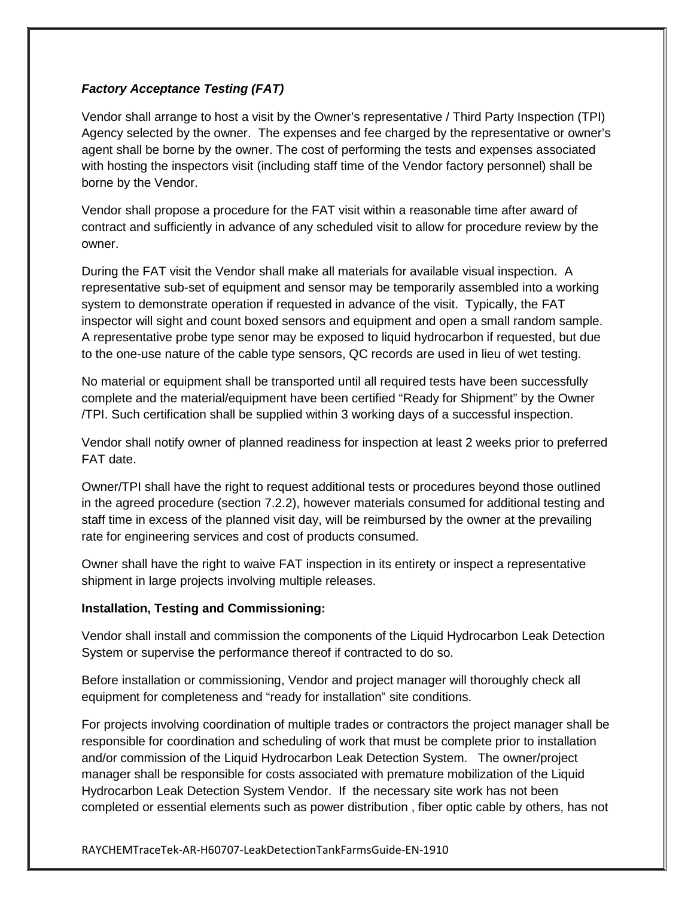# *Factory Acceptance Testing (FAT)*

Vendor shall arrange to host a visit by the Owner's representative / Third Party Inspection (TPI) Agency selected by the owner. The expenses and fee charged by the representative or owner's agent shall be borne by the owner. The cost of performing the tests and expenses associated with hosting the inspectors visit (including staff time of the Vendor factory personnel) shall be borne by the Vendor.

Vendor shall propose a procedure for the FAT visit within a reasonable time after award of contract and sufficiently in advance of any scheduled visit to allow for procedure review by the owner.

During the FAT visit the Vendor shall make all materials for available visual inspection. A representative sub-set of equipment and sensor may be temporarily assembled into a working system to demonstrate operation if requested in advance of the visit. Typically, the FAT inspector will sight and count boxed sensors and equipment and open a small random sample. A representative probe type senor may be exposed to liquid hydrocarbon if requested, but due to the one-use nature of the cable type sensors, QC records are used in lieu of wet testing.

No material or equipment shall be transported until all required tests have been successfully complete and the material/equipment have been certified "Ready for Shipment" by the Owner /TPI. Such certification shall be supplied within 3 working days of a successful inspection.

Vendor shall notify owner of planned readiness for inspection at least 2 weeks prior to preferred FAT date.

Owner/TPI shall have the right to request additional tests or procedures beyond those outlined in the agreed procedure (section 7.2.2), however materials consumed for additional testing and staff time in excess of the planned visit day, will be reimbursed by the owner at the prevailing rate for engineering services and cost of products consumed.

Owner shall have the right to waive FAT inspection in its entirety or inspect a representative shipment in large projects involving multiple releases.

# **Installation, Testing and Commissioning:**

Vendor shall install and commission the components of the Liquid Hydrocarbon Leak Detection System or supervise the performance thereof if contracted to do so.

Before installation or commissioning, Vendor and project manager will thoroughly check all equipment for completeness and "ready for installation" site conditions.

For projects involving coordination of multiple trades or contractors the project manager shall be responsible for coordination and scheduling of work that must be complete prior to installation and/or commission of the Liquid Hydrocarbon Leak Detection System. The owner/project manager shall be responsible for costs associated with premature mobilization of the Liquid Hydrocarbon Leak Detection System Vendor. If the necessary site work has not been completed or essential elements such as power distribution , fiber optic cable by others, has not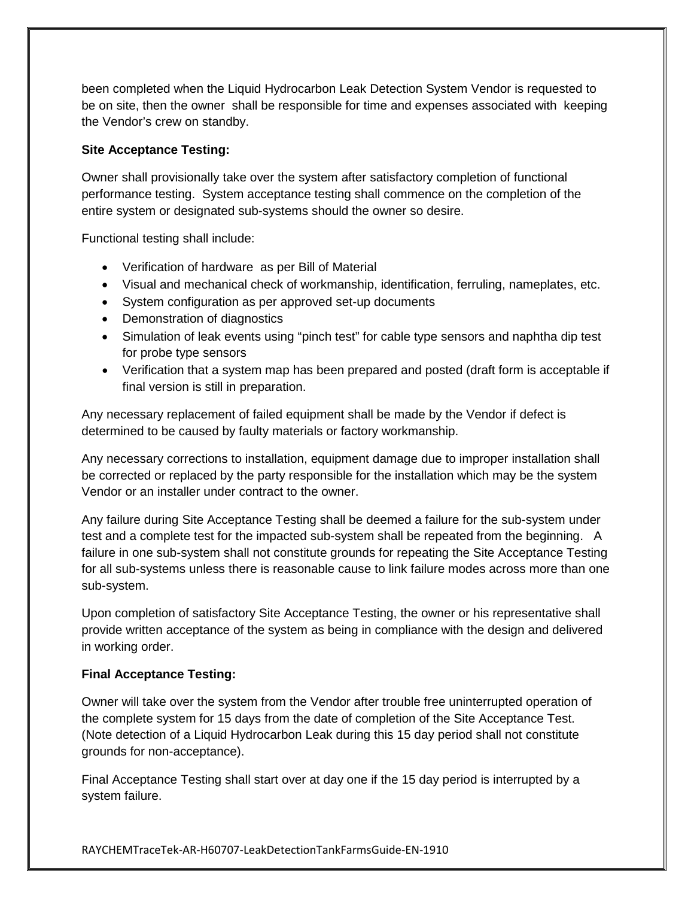been completed when the Liquid Hydrocarbon Leak Detection System Vendor is requested to be on site, then the owner shall be responsible for time and expenses associated with keeping the Vendor's crew on standby.

#### **Site Acceptance Testing:**

Owner shall provisionally take over the system after satisfactory completion of functional performance testing. System acceptance testing shall commence on the completion of the entire system or designated sub-systems should the owner so desire.

Functional testing shall include:

- Verification of hardware as per Bill of Material
- Visual and mechanical check of workmanship, identification, ferruling, nameplates, etc.
- System configuration as per approved set-up documents
- Demonstration of diagnostics
- Simulation of leak events using "pinch test" for cable type sensors and naphtha dip test for probe type sensors
- Verification that a system map has been prepared and posted (draft form is acceptable if final version is still in preparation.

Any necessary replacement of failed equipment shall be made by the Vendor if defect is determined to be caused by faulty materials or factory workmanship.

Any necessary corrections to installation, equipment damage due to improper installation shall be corrected or replaced by the party responsible for the installation which may be the system Vendor or an installer under contract to the owner.

Any failure during Site Acceptance Testing shall be deemed a failure for the sub-system under test and a complete test for the impacted sub-system shall be repeated from the beginning. A failure in one sub-system shall not constitute grounds for repeating the Site Acceptance Testing for all sub-systems unless there is reasonable cause to link failure modes across more than one sub-system.

Upon completion of satisfactory Site Acceptance Testing, the owner or his representative shall provide written acceptance of the system as being in compliance with the design and delivered in working order.

# **Final Acceptance Testing:**

Owner will take over the system from the Vendor after trouble free uninterrupted operation of the complete system for 15 days from the date of completion of the Site Acceptance Test. (Note detection of a Liquid Hydrocarbon Leak during this 15 day period shall not constitute grounds for non-acceptance).

Final Acceptance Testing shall start over at day one if the 15 day period is interrupted by a system failure.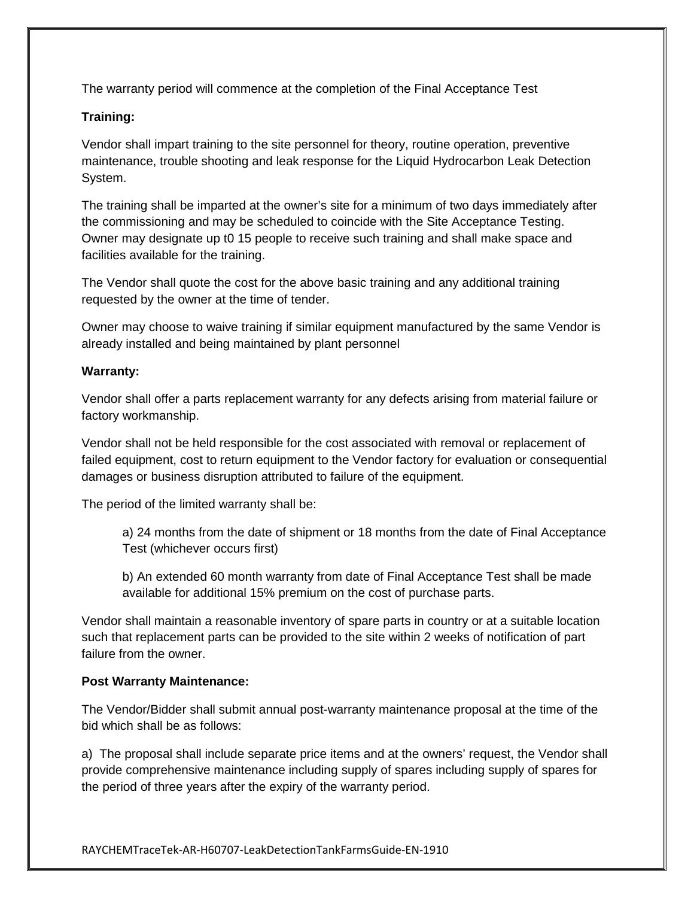The warranty period will commence at the completion of the Final Acceptance Test

## **Training:**

Vendor shall impart training to the site personnel for theory, routine operation, preventive maintenance, trouble shooting and leak response for the Liquid Hydrocarbon Leak Detection System.

The training shall be imparted at the owner's site for a minimum of two days immediately after the commissioning and may be scheduled to coincide with the Site Acceptance Testing. Owner may designate up t0 15 people to receive such training and shall make space and facilities available for the training.

The Vendor shall quote the cost for the above basic training and any additional training requested by the owner at the time of tender.

Owner may choose to waive training if similar equipment manufactured by the same Vendor is already installed and being maintained by plant personnel

#### **Warranty:**

Vendor shall offer a parts replacement warranty for any defects arising from material failure or factory workmanship.

Vendor shall not be held responsible for the cost associated with removal or replacement of failed equipment, cost to return equipment to the Vendor factory for evaluation or consequential damages or business disruption attributed to failure of the equipment.

The period of the limited warranty shall be:

a) 24 months from the date of shipment or 18 months from the date of Final Acceptance Test (whichever occurs first)

b) An extended 60 month warranty from date of Final Acceptance Test shall be made available for additional 15% premium on the cost of purchase parts.

Vendor shall maintain a reasonable inventory of spare parts in country or at a suitable location such that replacement parts can be provided to the site within 2 weeks of notification of part failure from the owner.

# **Post Warranty Maintenance:**

The Vendor/Bidder shall submit annual post-warranty maintenance proposal at the time of the bid which shall be as follows:

a) The proposal shall include separate price items and at the owners' request, the Vendor shall provide comprehensive maintenance including supply of spares including supply of spares for the period of three years after the expiry of the warranty period.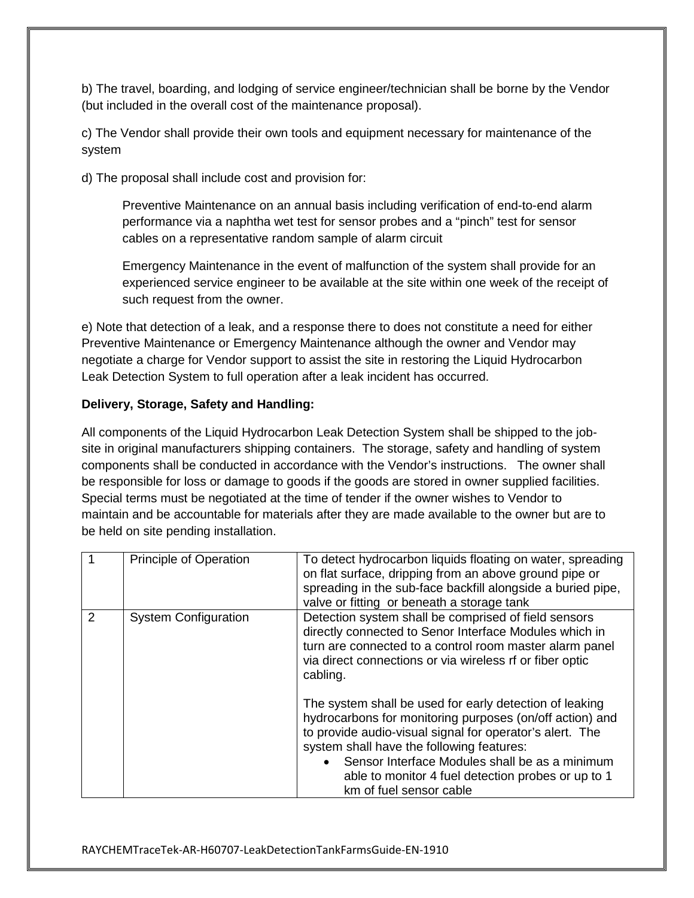b) The travel, boarding, and lodging of service engineer/technician shall be borne by the Vendor (but included in the overall cost of the maintenance proposal).

c) The Vendor shall provide their own tools and equipment necessary for maintenance of the system

d) The proposal shall include cost and provision for:

Preventive Maintenance on an annual basis including verification of end-to-end alarm performance via a naphtha wet test for sensor probes and a "pinch" test for sensor cables on a representative random sample of alarm circuit

Emergency Maintenance in the event of malfunction of the system shall provide for an experienced service engineer to be available at the site within one week of the receipt of such request from the owner.

e) Note that detection of a leak, and a response there to does not constitute a need for either Preventive Maintenance or Emergency Maintenance although the owner and Vendor may negotiate a charge for Vendor support to assist the site in restoring the Liquid Hydrocarbon Leak Detection System to full operation after a leak incident has occurred.

## **Delivery, Storage, Safety and Handling:**

All components of the Liquid Hydrocarbon Leak Detection System shall be shipped to the jobsite in original manufacturers shipping containers. The storage, safety and handling of system components shall be conducted in accordance with the Vendor's instructions. The owner shall be responsible for loss or damage to goods if the goods are stored in owner supplied facilities. Special terms must be negotiated at the time of tender if the owner wishes to Vendor to maintain and be accountable for materials after they are made available to the owner but are to be held on site pending installation.

|   | <b>Principle of Operation</b> | To detect hydrocarbon liquids floating on water, spreading<br>on flat surface, dripping from an above ground pipe or<br>spreading in the sub-face backfill alongside a buried pipe,<br>valve or fitting or beneath a storage tank                                                                                                                                 |
|---|-------------------------------|-------------------------------------------------------------------------------------------------------------------------------------------------------------------------------------------------------------------------------------------------------------------------------------------------------------------------------------------------------------------|
| 2 | <b>System Configuration</b>   | Detection system shall be comprised of field sensors<br>directly connected to Senor Interface Modules which in<br>turn are connected to a control room master alarm panel<br>via direct connections or via wireless rf or fiber optic<br>cabling.                                                                                                                 |
|   |                               | The system shall be used for early detection of leaking<br>hydrocarbons for monitoring purposes (on/off action) and<br>to provide audio-visual signal for operator's alert. The<br>system shall have the following features:<br>• Sensor Interface Modules shall be as a minimum<br>able to monitor 4 fuel detection probes or up to 1<br>km of fuel sensor cable |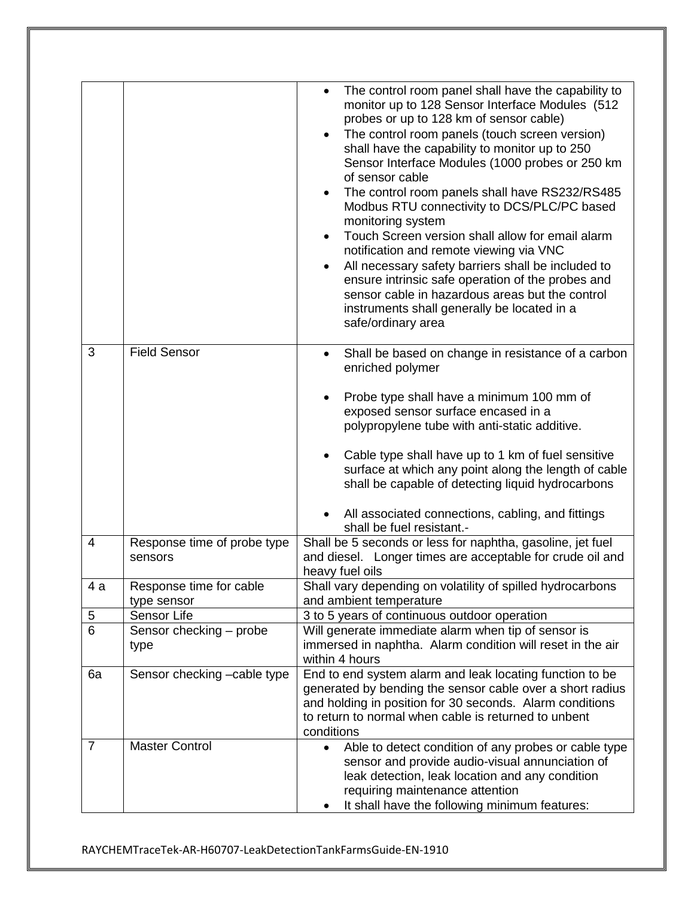|                |                                        | The control room panel shall have the capability to<br>monitor up to 128 Sensor Interface Modules (512<br>probes or up to 128 km of sensor cable)<br>The control room panels (touch screen version)<br>shall have the capability to monitor up to 250<br>Sensor Interface Modules (1000 probes or 250 km<br>of sensor cable<br>The control room panels shall have RS232/RS485<br>Modbus RTU connectivity to DCS/PLC/PC based<br>monitoring system<br>Touch Screen version shall allow for email alarm<br>notification and remote viewing via VNC<br>All necessary safety barriers shall be included to<br>ensure intrinsic safe operation of the probes and<br>sensor cable in hazardous areas but the control<br>instruments shall generally be located in a<br>safe/ordinary area |
|----------------|----------------------------------------|-------------------------------------------------------------------------------------------------------------------------------------------------------------------------------------------------------------------------------------------------------------------------------------------------------------------------------------------------------------------------------------------------------------------------------------------------------------------------------------------------------------------------------------------------------------------------------------------------------------------------------------------------------------------------------------------------------------------------------------------------------------------------------------|
| 3              | <b>Field Sensor</b>                    | Shall be based on change in resistance of a carbon<br>enriched polymer                                                                                                                                                                                                                                                                                                                                                                                                                                                                                                                                                                                                                                                                                                              |
|                |                                        | Probe type shall have a minimum 100 mm of<br>exposed sensor surface encased in a<br>polypropylene tube with anti-static additive.                                                                                                                                                                                                                                                                                                                                                                                                                                                                                                                                                                                                                                                   |
|                |                                        | Cable type shall have up to 1 km of fuel sensitive<br>surface at which any point along the length of cable<br>shall be capable of detecting liquid hydrocarbons                                                                                                                                                                                                                                                                                                                                                                                                                                                                                                                                                                                                                     |
|                |                                        | All associated connections, cabling, and fittings<br>shall be fuel resistant.-                                                                                                                                                                                                                                                                                                                                                                                                                                                                                                                                                                                                                                                                                                      |
| $\overline{4}$ | Response time of probe type<br>sensors | Shall be 5 seconds or less for naphtha, gasoline, jet fuel<br>and diesel. Longer times are acceptable for crude oil and<br>heavy fuel oils                                                                                                                                                                                                                                                                                                                                                                                                                                                                                                                                                                                                                                          |
| 4 а            | Response time for cable<br>type sensor | Shall vary depending on volatility of spilled hydrocarbons<br>and ambient temperature                                                                                                                                                                                                                                                                                                                                                                                                                                                                                                                                                                                                                                                                                               |
| 5              | Sensor Life                            | 3 to 5 years of continuous outdoor operation                                                                                                                                                                                                                                                                                                                                                                                                                                                                                                                                                                                                                                                                                                                                        |
| $\overline{6}$ | Sensor checking - probe                | Will generate immediate alarm when tip of sensor is                                                                                                                                                                                                                                                                                                                                                                                                                                                                                                                                                                                                                                                                                                                                 |
|                | type                                   | immersed in naphtha. Alarm condition will reset in the air<br>within 4 hours                                                                                                                                                                                                                                                                                                                                                                                                                                                                                                                                                                                                                                                                                                        |
| 6a             | Sensor checking -cable type            | End to end system alarm and leak locating function to be<br>generated by bending the sensor cable over a short radius<br>and holding in position for 30 seconds. Alarm conditions<br>to return to normal when cable is returned to unbent<br>conditions                                                                                                                                                                                                                                                                                                                                                                                                                                                                                                                             |
| 7              | <b>Master Control</b>                  | Able to detect condition of any probes or cable type<br>$\bullet$<br>sensor and provide audio-visual annunciation of<br>leak detection, leak location and any condition<br>requiring maintenance attention<br>It shall have the following minimum features:                                                                                                                                                                                                                                                                                                                                                                                                                                                                                                                         |

RAYCHEMTraceTek-AR-H60707-LeakDetectionTankFarmsGuide-EN-1910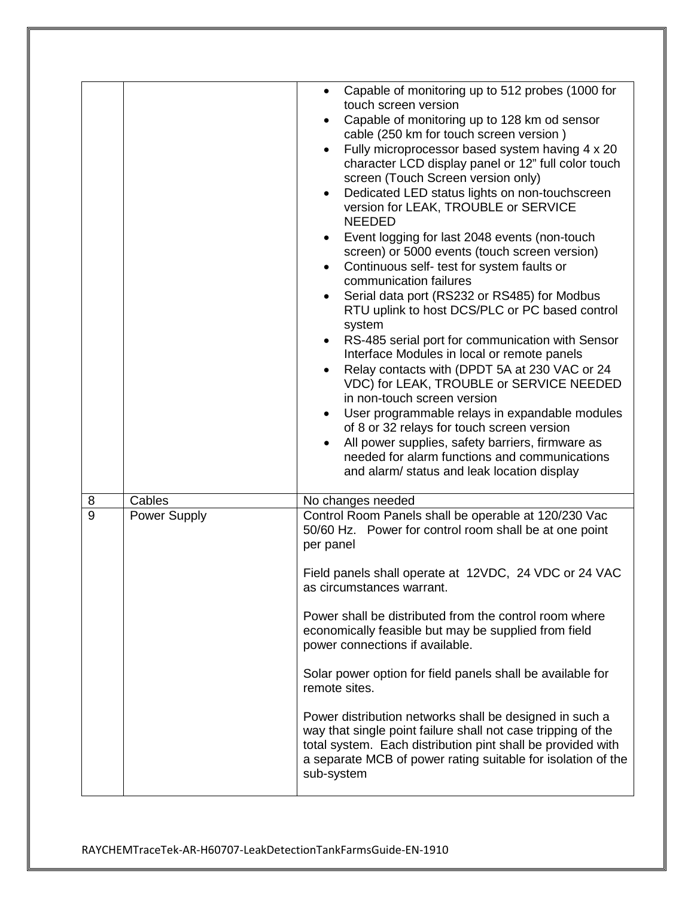|        |                        | Capable of monitoring up to 512 probes (1000 for<br>touch screen version<br>Capable of monitoring up to 128 km od sensor<br>cable (250 km for touch screen version)<br>Fully microprocessor based system having 4 x 20<br>character LCD display panel or 12" full color touch<br>screen (Touch Screen version only)<br>Dedicated LED status lights on non-touchscreen<br>$\bullet$<br>version for LEAK, TROUBLE or SERVICE<br><b>NEEDED</b><br>Event logging for last 2048 events (non-touch<br>screen) or 5000 events (touch screen version)<br>Continuous self- test for system faults or<br>$\bullet$<br>communication failures<br>Serial data port (RS232 or RS485) for Modbus<br>$\bullet$<br>RTU uplink to host DCS/PLC or PC based control<br>system<br>RS-485 serial port for communication with Sensor<br>Interface Modules in local or remote panels<br>Relay contacts with (DPDT 5A at 230 VAC or 24<br>VDC) for LEAK, TROUBLE or SERVICE NEEDED<br>in non-touch screen version<br>User programmable relays in expandable modules<br>of 8 or 32 relays for touch screen version<br>All power supplies, safety barriers, firmware as<br>needed for alarm functions and communications<br>and alarm/ status and leak location display |
|--------|------------------------|------------------------------------------------------------------------------------------------------------------------------------------------------------------------------------------------------------------------------------------------------------------------------------------------------------------------------------------------------------------------------------------------------------------------------------------------------------------------------------------------------------------------------------------------------------------------------------------------------------------------------------------------------------------------------------------------------------------------------------------------------------------------------------------------------------------------------------------------------------------------------------------------------------------------------------------------------------------------------------------------------------------------------------------------------------------------------------------------------------------------------------------------------------------------------------------------------------------------------------------------|
|        |                        |                                                                                                                                                                                                                                                                                                                                                                                                                                                                                                                                                                                                                                                                                                                                                                                                                                                                                                                                                                                                                                                                                                                                                                                                                                                |
|        |                        |                                                                                                                                                                                                                                                                                                                                                                                                                                                                                                                                                                                                                                                                                                                                                                                                                                                                                                                                                                                                                                                                                                                                                                                                                                                |
| 8<br>9 | Cables<br>Power Supply | No changes needed<br>Control Room Panels shall be operable at 120/230 Vac<br>50/60 Hz. Power for control room shall be at one point<br>per panel<br>Field panels shall operate at 12VDC, 24 VDC or 24 VAC<br>as circumstances warrant.<br>Power shall be distributed from the control room where<br>economically feasible but may be supplied from field<br>power connections if available.<br>Solar power option for field panels shall be available for<br>remote sites.<br>Power distribution networks shall be designed in such a<br>way that single point failure shall not case tripping of the<br>total system. Each distribution pint shall be provided with<br>a separate MCB of power rating suitable for isolation of the<br>sub-system                                                                                                                                                                                                                                                                                                                                                                                                                                                                                             |